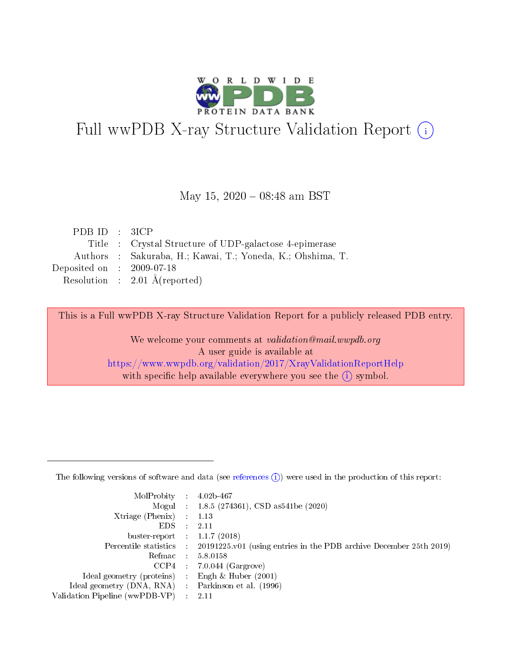

# Full wwPDB X-ray Structure Validation Report (i)

#### May 15,  $2020 - 08:48$  am BST

| PDB ID : $3ICP$             |                                                            |
|-----------------------------|------------------------------------------------------------|
|                             | Title : Crystal Structure of UDP-galactose 4-epimerase     |
|                             | Authors : Sakuraba, H.; Kawai, T.; Yoneda, K.; Ohshima, T. |
| Deposited on : $2009-07-18$ |                                                            |
|                             | Resolution : $2.01 \text{ Å}$ (reported)                   |

This is a Full wwPDB X-ray Structure Validation Report for a publicly released PDB entry.

We welcome your comments at validation@mail.wwpdb.org A user guide is available at <https://www.wwpdb.org/validation/2017/XrayValidationReportHelp> with specific help available everywhere you see the  $(i)$  symbol.

The following versions of software and data (see [references](https://www.wwpdb.org/validation/2017/XrayValidationReportHelp#references)  $(1)$ ) were used in the production of this report:

| MolProbity : 4.02b-467         |     |                                                                                            |
|--------------------------------|-----|--------------------------------------------------------------------------------------------|
|                                |     | Mogul : $1.8.5$ (274361), CSD as 541be (2020)                                              |
| $X$ triage (Phenix) :          |     | 1.13                                                                                       |
| EDS.                           |     | 2.11                                                                                       |
| buster-report : $1.1.7$ (2018) |     |                                                                                            |
|                                |     | Percentile statistics : 20191225.v01 (using entries in the PDB archive December 25th 2019) |
| Refmac                         |     | 5.8.0158                                                                                   |
| CCP4                           |     | $7.0.044$ (Gargrove)                                                                       |
| Ideal geometry (proteins) :    |     | Engh $\&$ Huber (2001)                                                                     |
| Ideal geometry (DNA, RNA) :    |     | Parkinson et al. (1996)                                                                    |
| Validation Pipeline (wwPDB-VP) | -11 | -2.11                                                                                      |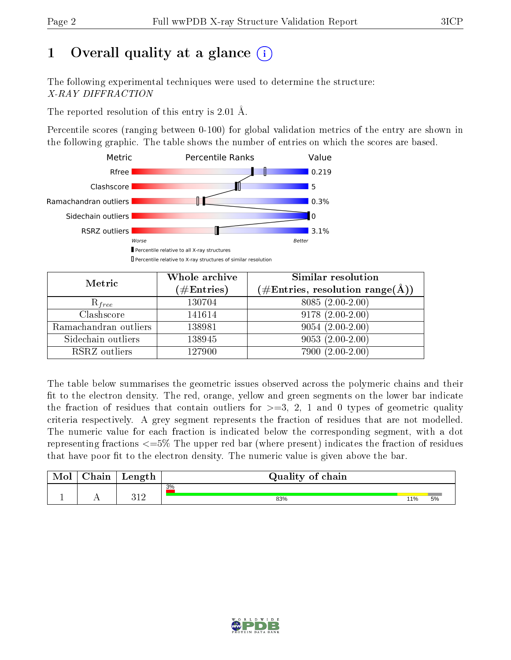# 1 [O](https://www.wwpdb.org/validation/2017/XrayValidationReportHelp#overall_quality)verall quality at a glance  $(i)$

The following experimental techniques were used to determine the structure: X-RAY DIFFRACTION

The reported resolution of this entry is 2.01 Å.

Percentile scores (ranging between 0-100) for global validation metrics of the entry are shown in the following graphic. The table shows the number of entries on which the scores are based.



| Metric                | Whole archive<br>$(\#\text{Entries})$ | Similar resolution<br>$(\#\text{Entries}, \text{resolution range}(\text{\AA}))$ |
|-----------------------|---------------------------------------|---------------------------------------------------------------------------------|
| $R_{free}$            | 130704                                | $8085(2.00-2.00)$                                                               |
| Clashscore            | 141614                                | $9178(2.00-2.00)$                                                               |
| Ramachandran outliers | 138981                                | $9054(2.00-2.00)$                                                               |
| Sidechain outliers    | 138945                                | $9053(2.00-2.00)$                                                               |
| RSRZ outliers         | 127900                                | 7900 (2.00-2.00)                                                                |

The table below summarises the geometric issues observed across the polymeric chains and their fit to the electron density. The red, orange, yellow and green segments on the lower bar indicate the fraction of residues that contain outliers for  $>=3, 2, 1$  and 0 types of geometric quality criteria respectively. A grey segment represents the fraction of residues that are not modelled. The numeric value for each fraction is indicated below the corresponding segment, with a dot representing fractions  $\epsilon=5\%$  The upper red bar (where present) indicates the fraction of residues that have poor fit to the electron density. The numeric value is given above the bar.

| Mol | $\sim$ $\sim$<br>hain | Length       | Quality of chain |     |    |
|-----|-----------------------|--------------|------------------|-----|----|
|     |                       |              | 3%               |     |    |
| л.  | . .                   | າ 1 ດ<br>┚┸┵ | 83%              | 11% | 5% |

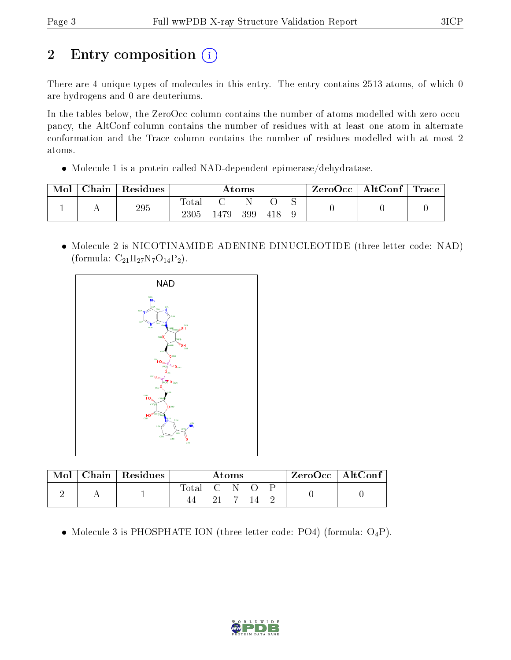# 2 Entry composition (i)

There are 4 unique types of molecules in this entry. The entry contains 2513 atoms, of which 0 are hydrogens and 0 are deuteriums.

In the tables below, the ZeroOcc column contains the number of atoms modelled with zero occupancy, the AltConf column contains the number of residues with at least one atom in alternate conformation and the Trace column contains the number of residues modelled with at most 2 atoms.

Molecule 1 is a protein called NAD-dependent epimerase/dehydratase.

| ${\rm Chain}$ | Residues | Atoms               |      |     | ZeroOcc | $\vert$ AltConf $\vert$ Trace |  |  |  |
|---------------|----------|---------------------|------|-----|---------|-------------------------------|--|--|--|
|               | 295      | Total<br>$\rm 2305$ | 479ء | 399 |         |                               |  |  |  |

 Molecule 2 is NICOTINAMIDE-ADENINE-DINUCLEOTIDE (three-letter code: NAD) (formula:  $C_{21}H_{27}N_7O_{14}P_2$ ).



|  | $Chain   Residues$ | Atoms       |  |  |      | $ZeroOcc \mid AltConf \mid$ |  |  |
|--|--------------------|-------------|--|--|------|-----------------------------|--|--|
|  |                    | Total C N O |  |  | - 14 |                             |  |  |

• Molecule 3 is PHOSPHATE ION (three-letter code: PO4) (formula:  $O_4P$ ).

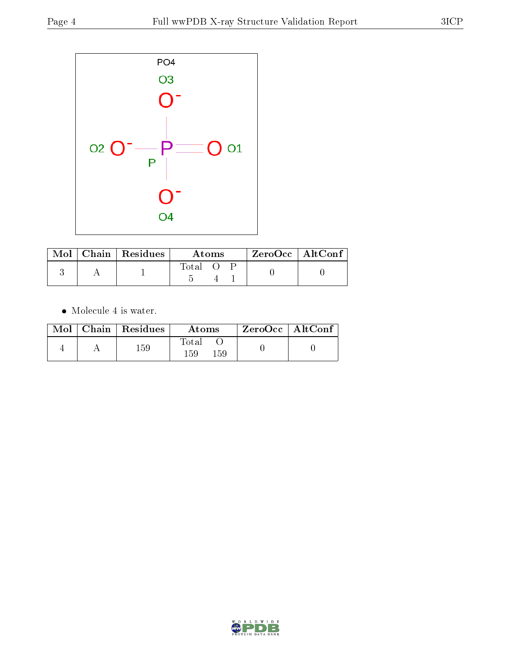

|  | $\text{Mol}$   Chain   Residues | Atoms |  |  | $ZeroOcc$   AltConf |
|--|---------------------------------|-------|--|--|---------------------|
|  |                                 | Total |  |  |                     |

 $\bullet\,$  Molecule 4 is water.

| Mol | Chain   Residues | Atoms                         | $ZeroOcc \   \ AltConf \$ |  |
|-----|------------------|-------------------------------|---------------------------|--|
|     | 159              | $\rm Total$<br>159<br>$159\,$ |                           |  |

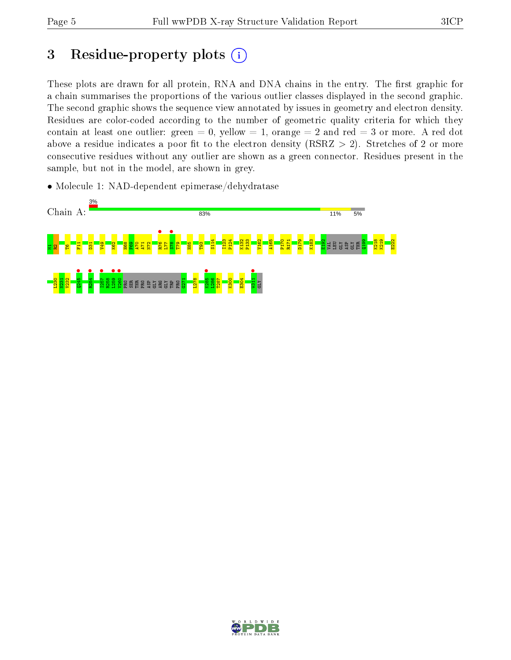## 3 Residue-property plots  $(i)$

These plots are drawn for all protein, RNA and DNA chains in the entry. The first graphic for a chain summarises the proportions of the various outlier classes displayed in the second graphic. The second graphic shows the sequence view annotated by issues in geometry and electron density. Residues are color-coded according to the number of geometric quality criteria for which they contain at least one outlier: green  $= 0$ , yellow  $= 1$ , orange  $= 2$  and red  $= 3$  or more. A red dot above a residue indicates a poor fit to the electron density (RSRZ  $> 2$ ). Stretches of 2 or more consecutive residues without any outlier are shown as a green connector. Residues present in the sample, but not in the model, are shown in grey.

• Molecule 1: NAD-dependent epimerase/dehydratase



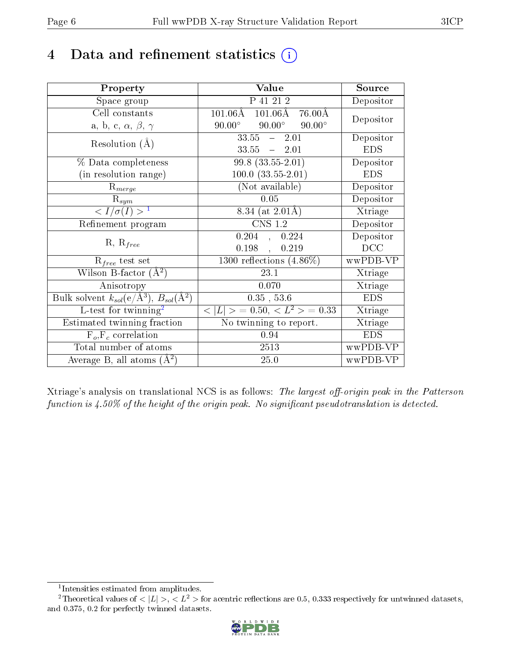## 4 Data and refinement statistics  $(i)$

| Property                                                         | Value                                                         | Source     |
|------------------------------------------------------------------|---------------------------------------------------------------|------------|
| Space group                                                      | P 41 21 2                                                     | Depositor  |
| Cell constants                                                   | $101.06\text{\AA}$<br>$101.06\text{\AA}$<br>$76.00\text{\AA}$ | Depositor  |
| a, b, c, $\alpha$ , $\beta$ , $\gamma$                           | $90.00^\circ$<br>$90.00^\circ$<br>$90.00^\circ$               |            |
| Resolution $(A)$                                                 | $33.55 - 2.01$                                                | Depositor  |
|                                                                  | $33.55 - 2.01$                                                | <b>EDS</b> |
| % Data completeness                                              | $99.8(33.55-2.01)$                                            | Depositor  |
| (in resolution range)                                            | $100.0 (33.55 - 2.01)$                                        | <b>EDS</b> |
| $R_{merge}$                                                      | (Not available)                                               | Depositor  |
| $\mathrm{R}_{sym}$                                               | 0.05                                                          | Depositor  |
| $\langle I/\sigma(I) \rangle^{-1}$                               | 8.34 (at $2.01\text{\AA}$ )                                   | Xtriage    |
| Refinement program                                               | $\mathrm{CNS}$ 1.2                                            | Depositor  |
| $R, R_{free}$                                                    | $0.204$ , $0.224$                                             | Depositor  |
|                                                                  | 0.198,<br>0.219                                               | DCC        |
| $\mathcal{R}_{free}$ test set                                    | $1300$ reflections $(4.86\%)$                                 | wwPDB-VP   |
| Wilson B-factor $(A^2)$                                          | 23.1                                                          | Xtriage    |
| Anisotropy                                                       | 0.070                                                         | Xtriage    |
| Bulk solvent $k_{sol}(\text{e}/\text{A}^3), B_{sol}(\text{A}^2)$ | $0.35$ , 53.6                                                 | <b>EDS</b> |
| L-test for twinning <sup>2</sup>                                 | $< L >$ = 0.50, $< L2$ > = 0.33                               | Xtriage    |
| Estimated twinning fraction                                      | No twinning to report.                                        | Xtriage    |
| $F_o, F_c$ correlation                                           | 0.94                                                          | <b>EDS</b> |
| Total number of atoms                                            | $2513\,$                                                      | wwPDB-VP   |
| Average B, all atoms $(A^2)$                                     | 25.0                                                          | wwPDB-VP   |

Xtriage's analysis on translational NCS is as follows: The largest off-origin peak in the Patterson function is  $4.50\%$  of the height of the origin peak. No significant pseudotranslation is detected.

<sup>&</sup>lt;sup>2</sup>Theoretical values of  $\langle |L| \rangle$ ,  $\langle L^2 \rangle$  for acentric reflections are 0.5, 0.333 respectively for untwinned datasets, and 0.375, 0.2 for perfectly twinned datasets.



<span id="page-5-1"></span><span id="page-5-0"></span><sup>1</sup> Intensities estimated from amplitudes.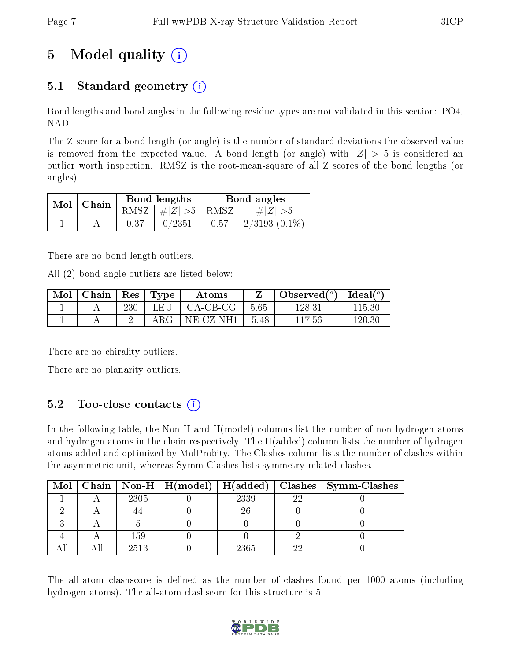# 5 Model quality  $(i)$

## 5.1 Standard geometry  $(i)$

Bond lengths and bond angles in the following residue types are not validated in this section: PO4, NAD

The Z score for a bond length (or angle) is the number of standard deviations the observed value is removed from the expected value. A bond length (or angle) with  $|Z| > 5$  is considered an outlier worth inspection. RMSZ is the root-mean-square of all Z scores of the bond lengths (or angles).

| $Mol$   Chain |      | Bond lengths                   | Bond angles |                 |  |
|---------------|------|--------------------------------|-------------|-----------------|--|
|               |      | RMSZ $\mid \#Z \mid >5$   RMSZ |             | $\# Z  > 5$     |  |
|               | 0.37 | 0/2351                         | 0.57        | $2/3193(0.1\%)$ |  |

There are no bond length outliers.

All (2) bond angle outliers are listed below:

| Mol | $\perp$ Chain |     | $\vert$ Res $\vert$ Type | Atoms      |         | Observed $(°)$ | $\mid$ Ideal( $^o$ ) |
|-----|---------------|-----|--------------------------|------------|---------|----------------|----------------------|
|     |               | 230 | LEU                      | $CA-CB-CG$ | 5.65    | 128.31         | 115.30               |
|     |               |     | ${\rm ARG}$ .            | NE-CZ-NH1  | $-5.48$ | 117.56         | $120.30\,$           |

There are no chirality outliers.

There are no planarity outliers.

## 5.2 Too-close contacts  $(i)$

In the following table, the Non-H and H(model) columns list the number of non-hydrogen atoms and hydrogen atoms in the chain respectively. The H(added) column lists the number of hydrogen atoms added and optimized by MolProbity. The Clashes column lists the number of clashes within the asymmetric unit, whereas Symm-Clashes lists symmetry related clashes.

|  |      |      |    | Mol   Chain   Non-H   H(model)   H(added)   Clashes   Symm-Clashes |
|--|------|------|----|--------------------------------------------------------------------|
|  | 2305 | 2339 | າງ |                                                                    |
|  |      | 26   |    |                                                                    |
|  |      |      |    |                                                                    |
|  | 159  |      |    |                                                                    |
|  | 2513 | 2365 |    |                                                                    |

The all-atom clashscore is defined as the number of clashes found per 1000 atoms (including hydrogen atoms). The all-atom clashscore for this structure is 5.

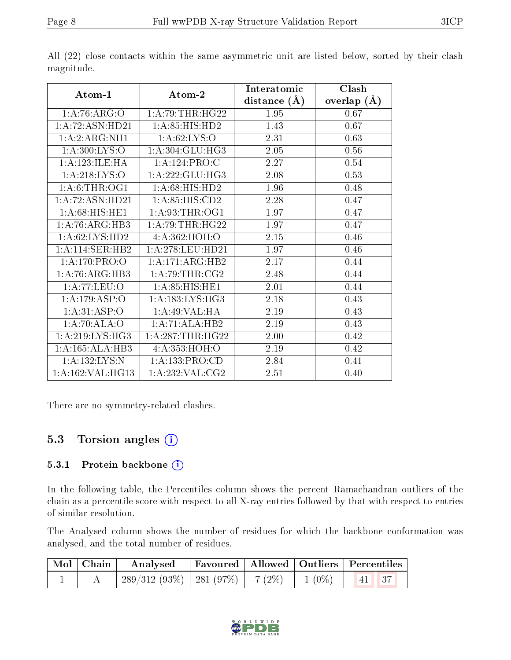|                               |                     | Interatomic    | Clash         |
|-------------------------------|---------------------|----------------|---------------|
| Atom-1                        | Atom-2              | distance $(A)$ | overlap $(A)$ |
| 1: A:76: ARG:O                | 1: A:79:THR:HG22    | 1.95           | 0.67          |
| 1: A:72: ASN: HD21            | 1:A:85:HIS:HD2      | 1.43           | 0.67          |
| 1: A:2: ARG:NH1               | 1: A:62: LYS:O      | 2.31           | 0.63          |
| 1: A:300: LYS:O               | 1:A:304:GLU:HG3     | 2.05           | 0.56          |
| 1: A: 123: ILE: HA            | 1:A:124:PRO:C       | 2.27           | 0.54          |
| 1: A:218: LYS:O               | 1:A:222:GLU:HG3     | 2.08           | 0.53          |
| 1: A:6:THR:OG1                | 1:A:68:HIS:HD2      | 1.96           | 0.48          |
| 1:A:72:ASN:HD21               | 1: A:85: HIS:CD2    | 2.28           | 0.47          |
| $1: A:68: \overline{HIS:HE1}$ | 1: A:93:THR:OG1     | 1.97           | 0.47          |
| 1:A:76:ARG:HB3                | 1:A:79:THR:HG22     | 1.97           | 0.47          |
| 1: A:62: LYS: HD2             | 4:A:362:HOH:O       | 2.15           | 0.46          |
| 1:A:114:SER:HB2               | 1:A:278:LEU:HD21    | 1.97           | 0.46          |
| $1: A:170: PRO: O$            | 1:A:171:ARG:HB2     | 2.17           | 0.44          |
| 1:A:76:ARG:HB3                | 1: A:79:THR:CG2     | 2.48           | 0.44          |
| 1: A: 77: LEU: O              | 1: A:85: HIS: HE1   | 2.01           | 0.44          |
| 1:A:179:ASP:O                 | 1: A: 183: LYS: HG3 | 2.18           | 0.43          |
| 1: A:31: ASP:O                | 1: A:49: VAL:HA     | 2.19           | 0.43          |
| 1:A:70:ALA:O                  | 1:A:71:ALA:HB2      | 2.19           | 0.43          |
| 1: A:219: LYS: HG3            | 1: A:287:THR:HG22   | 2.00           | 0.42          |
| 1:A:165:ALA:HB3               | 4: A: 353: HOH: O   | 2.19           | 0.42          |
| 1: A: 132: LYS: N             | 1: A: 133: PRO:CD   | 2.84           | 0.41          |
| 1:A:162:VAL:HG13              | 1:A:232:VAL:CG2     | 2.51           | 0.40          |

All (22) close contacts within the same asymmetric unit are listed below, sorted by their clash magnitude.

There are no symmetry-related clashes.

### 5.3 Torsion angles  $(i)$

#### 5.3.1 Protein backbone (i)

In the following table, the Percentiles column shows the percent Ramachandran outliers of the chain as a percentile score with respect to all X-ray entries followed by that with respect to entries of similar resolution.

The Analysed column shows the number of residues for which the backbone conformation was analysed, and the total number of residues.

| $\boxed{\text{Mol}}$ Chain | Analysed                               |  |          | Favoured   Allowed   Outliers   Percentiles |  |
|----------------------------|----------------------------------------|--|----------|---------------------------------------------|--|
|                            | $289/312(93\%)$   281 (97\%)   7 (2\%) |  | $1(0\%)$ | $\vert 41 \vert 37$                         |  |

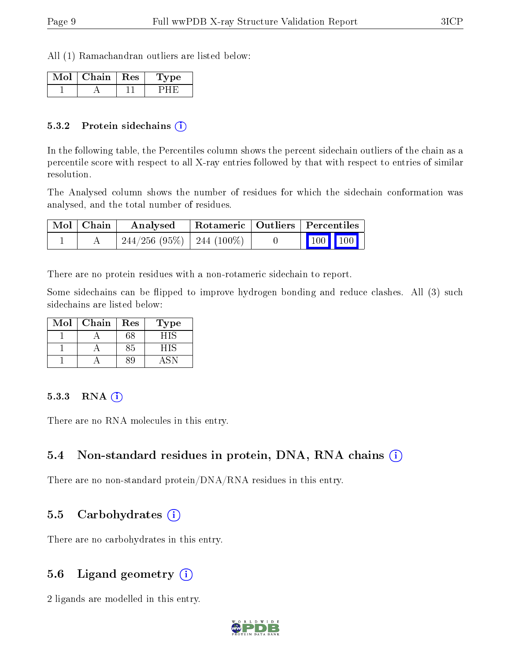All (1) Ramachandran outliers are listed below:

| Chain   Res | /pe |
|-------------|-----|
|             |     |

#### 5.3.2 Protein sidechains (i)

In the following table, the Percentiles column shows the percent sidechain outliers of the chain as a percentile score with respect to all X-ray entries followed by that with respect to entries of similar resolution.

The Analysed column shows the number of residues for which the sidechain conformation was analysed, and the total number of residues.

| Mol   Chain | Analysed                                 | Rotameric   Outliers   Percentiles |                                                            |  |
|-------------|------------------------------------------|------------------------------------|------------------------------------------------------------|--|
|             | $-244/256$ $(95\%)$ $-244$ $(100\%)$ $-$ |                                    | $\begin{array}{ c c c c }\n\hline\n100 & 100\n\end{array}$ |  |

There are no protein residues with a non-rotameric sidechain to report.

Some sidechains can be flipped to improve hydrogen bonding and reduce clashes. All (3) such sidechains are listed below:

| Mol | Chain | $\operatorname{Res}% \left( \mathcal{N}\right) \equiv\operatorname{Res}(\mathcal{N}_{0})\cap\mathcal{N}_{1}$ | Type |
|-----|-------|--------------------------------------------------------------------------------------------------------------|------|
|     |       | $^{\rm 68}$                                                                                                  | ना   |
|     |       |                                                                                                              |      |
|     |       |                                                                                                              |      |

#### $5.3.3$  RNA  $(i)$

There are no RNA molecules in this entry.

### 5.4 Non-standard residues in protein, DNA, RNA chains  $(i)$

There are no non-standard protein/DNA/RNA residues in this entry.

### 5.5 Carbohydrates (i)

There are no carbohydrates in this entry.

### 5.6 Ligand geometry (i)

2 ligands are modelled in this entry.

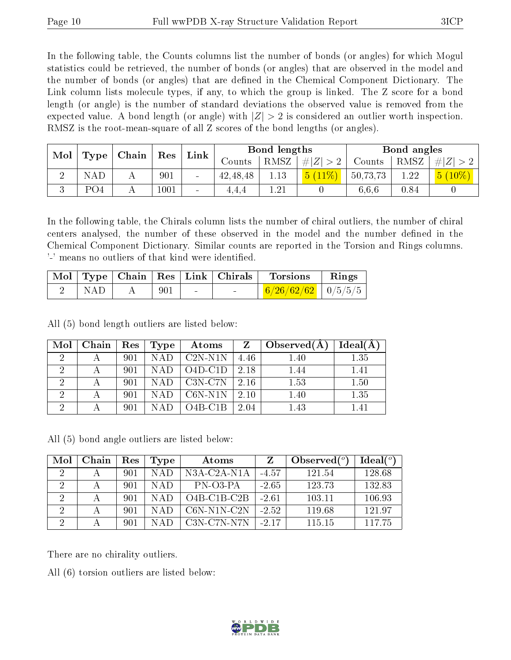In the following table, the Counts columns list the number of bonds (or angles) for which Mogul statistics could be retrieved, the number of bonds (or angles) that are observed in the model and the number of bonds (or angles) that are dened in the Chemical Component Dictionary. The Link column lists molecule types, if any, to which the group is linked. The Z score for a bond length (or angle) is the number of standard deviations the observed value is removed from the expected value. A bond length (or angle) with  $|Z| > 2$  is considered an outlier worth inspection. RMSZ is the root-mean-square of all Z scores of the bond lengths (or angles).

| Mol      | Type            | Chain | Res<br>Link |                          |            | Bond lengths |         |          | Bond angles |          |
|----------|-----------------|-------|-------------|--------------------------|------------|--------------|---------|----------|-------------|----------|
|          |                 |       |             |                          | Jounts     | <b>RMSZ</b>  | $\# Z $ | Counts   | RMSZ        | # Z      |
|          |                 | . .   | 901         | $\overline{\phantom{a}}$ | 42, 48, 48 | 1.13         | b.      | 50,73,73 | 1.22        | $10\%$ ) |
| $\Omega$ | PO <sub>4</sub> |       | 1001        | $\sim$                   | 4.4.4      | $1.21\,$     |         | 6.6.6    | 0.84        |          |

In the following table, the Chirals column lists the number of chiral outliers, the number of chiral centers analysed, the number of these observed in the model and the number defined in the Chemical Component Dictionary. Similar counts are reported in the Torsion and Rings columns. '-' means no outliers of that kind were identified.

|      |     |        | Mol   Type   Chain   Res   Link   Chirals | Torsions               | $\parallel$ Rings |
|------|-----|--------|-------------------------------------------|------------------------|-------------------|
| NAD. | 901 | $\sim$ | <b>Contract Contract</b>                  | $6/26/62/62$   0/5/5/5 |                   |

All (5) bond length outliers are listed below:

| Mol | Chain | Res | Type       | Atoms      | Z    | Observed $(A)$ | Ideal(A |
|-----|-------|-----|------------|------------|------|----------------|---------|
| റ   |       | 901 | NAD.       | $C2N- N1N$ | 4.46 | 1.40           | 1.35    |
| ച   |       | 901 | <b>NAD</b> | $O4D-C1D$  | 2.18 | 1.44           | 1.41    |
| റ   |       | 901 | <b>NAD</b> | $C3N-C7N$  | 2.16 | 1.53           | 1.50    |
| റ   |       | 901 | <b>NAD</b> | $C6N-N1N$  | 2.10 | 1.40           | 1.35    |
| ച   |       | 901 |            | $O4B-C1B$  | 2.04 | 1.43           | 1.41    |

All (5) bond angle outliers are listed below:

| Mol | Chain | Res | Type | Atoms                                    |         | Observed $(^\circ)$ | Ideal(°) |
|-----|-------|-----|------|------------------------------------------|---------|---------------------|----------|
| റ   |       | 901 | NAD  | N3A-C2A-N1A                              | $-4.57$ | 121.54              | 128.68   |
| -2  |       | 901 | NAD  | PN-03-PA                                 | $-2.65$ | 123.73              | 132.83   |
| 2   |       | 901 | NAD  | $O4B$ -C <sub>1</sub> B-C <sub>2</sub> B | $-2.61$ | 103.11              | 106.93   |
|     |       | 901 | NAD  | $C6N-N1N-C2N$                            | $-2.52$ | 119.68              | 121.97   |
|     | А     | 901 | NAD  | $C3N-C7N- N7N$                           | $-2.17$ | 115.15              | 117.75   |

There are no chirality outliers.

All (6) torsion outliers are listed below:

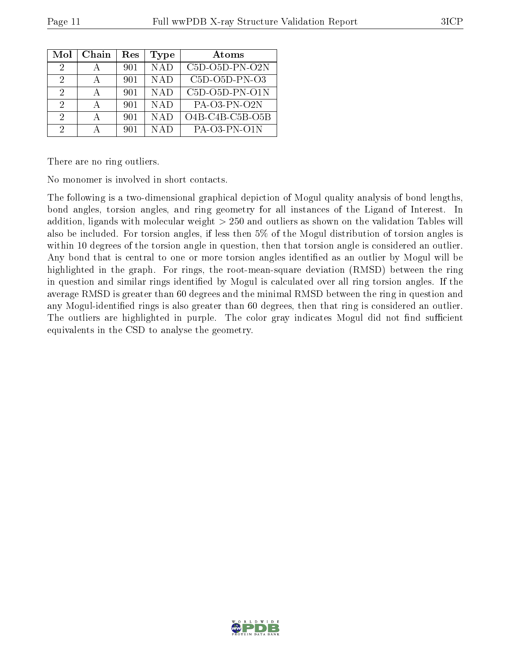| Mol | Chain | Res | <b>Type</b> | Atoms             |
|-----|-------|-----|-------------|-------------------|
| 2   |       | 901 | <b>NAD</b>  | C5D-O5D-PN-O2N    |
| 2   |       | 901 | <b>NAD</b>  | $C5D-O5D-PN-O3$   |
| 2   |       | 901 | <b>NAD</b>  | $C5D-O5D-PN-O1N$  |
| 2   |       | 901 | <b>NAD</b>  | $PA-O3-PN-O2N$    |
| 2   | А     | 901 | NAD         | $O4B-C4B-C5B-O5B$ |
| 9   |       | 901 | NAD         | PA-03-PN-01N      |

There are no ring outliers.

No monomer is involved in short contacts.

The following is a two-dimensional graphical depiction of Mogul quality analysis of bond lengths, bond angles, torsion angles, and ring geometry for all instances of the Ligand of Interest. In addition, ligands with molecular weight > 250 and outliers as shown on the validation Tables will also be included. For torsion angles, if less then 5% of the Mogul distribution of torsion angles is within 10 degrees of the torsion angle in question, then that torsion angle is considered an outlier. Any bond that is central to one or more torsion angles identified as an outlier by Mogul will be highlighted in the graph. For rings, the root-mean-square deviation (RMSD) between the ring in question and similar rings identified by Mogul is calculated over all ring torsion angles. If the average RMSD is greater than 60 degrees and the minimal RMSD between the ring in question and any Mogul-identied rings is also greater than 60 degrees, then that ring is considered an outlier. The outliers are highlighted in purple. The color gray indicates Mogul did not find sufficient equivalents in the CSD to analyse the geometry.

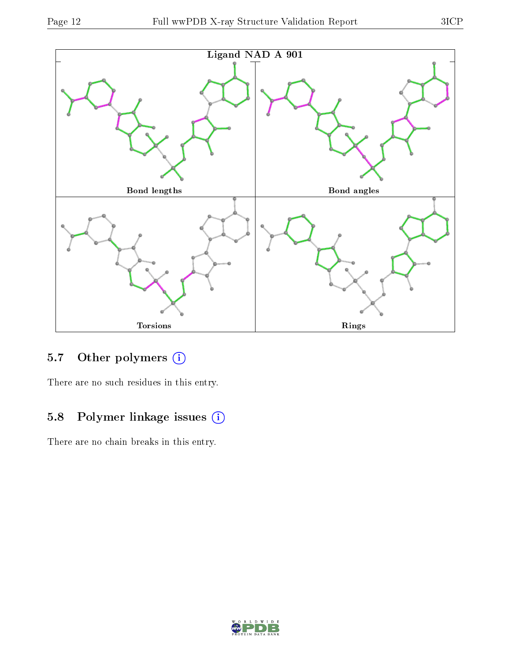

## 5.7 [O](https://www.wwpdb.org/validation/2017/XrayValidationReportHelp#nonstandard_residues_and_ligands)ther polymers (i)

There are no such residues in this entry.

## 5.8 Polymer linkage issues (i)

There are no chain breaks in this entry.

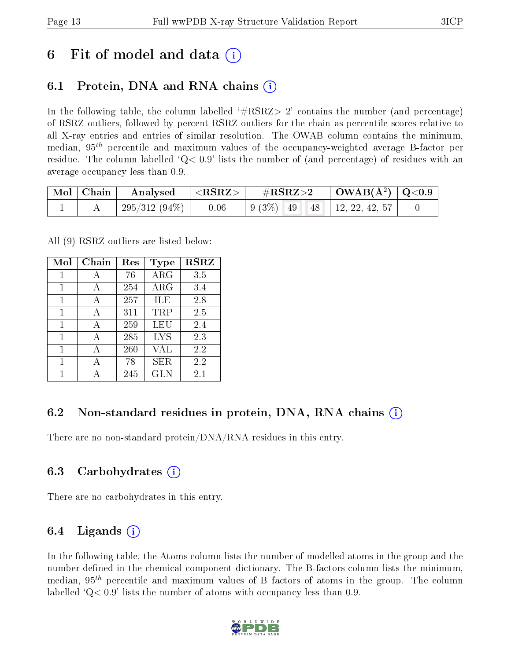## 6 Fit of model and data  $\left( \cdot \right)$

## 6.1 Protein, DNA and RNA chains (i)

In the following table, the column labelled  $#RSRZ>2'$  contains the number (and percentage) of RSRZ outliers, followed by percent RSRZ outliers for the chain as percentile scores relative to all X-ray entries and entries of similar resolution. The OWAB column contains the minimum, median,  $95<sup>th</sup>$  percentile and maximum values of the occupancy-weighted average B-factor per residue. The column labelled  $Q< 0.9$  lists the number of (and percentage) of residues with an average occupancy less than 0.9.

|  | $\mid$ Mol $\mid$ Chain $\mid$ Analysed $\mid$ <rsrz> <math>\mid</math></rsrz> |      | $\rm \#RSRZ{>}2$                                                                                | $\vert$ OWAB(Å <sup>2</sup> ) $\vert$ Q<0.9 $\vert$ |  |
|--|--------------------------------------------------------------------------------|------|-------------------------------------------------------------------------------------------------|-----------------------------------------------------|--|
|  | 295/312 (94%)                                                                  | 0.06 | $\begin{array}{ c c c c c c c c } \hline 9 & 3\% & 49 & 48 & 12, 22, 42, 57 \hline \end{array}$ |                                                     |  |

All (9) RSRZ outliers are listed below:

| Mol | Chain | $\operatorname{Res}% \left( \mathcal{N}\right) \equiv\operatorname{Res}(\mathcal{N}_{0},\mathcal{N}_{0})$ | <b>Type</b> | <b>RSRZ</b> |  |
|-----|-------|-----------------------------------------------------------------------------------------------------------|-------------|-------------|--|
| 1   | А     | 76                                                                                                        | $\rm{ARG}$  | 3.5         |  |
| 1   | A     | 254                                                                                                       | ARG         | 3.4         |  |
| 1   | А     | 257                                                                                                       | ILE         | 2.8         |  |
| 1   | А     | 311                                                                                                       | TRP         | 2.5         |  |
| 1   | A     | 259                                                                                                       | LEU         | 2.4         |  |
| 1   | А     | 285                                                                                                       | <b>LYS</b>  | 2.3         |  |
| 1   | А     | 260                                                                                                       | VAL         | 2.2         |  |
| 1   | А     | 78                                                                                                        | ${\rm SER}$ | 2.2         |  |
|     |       | 245                                                                                                       | GLN         | 2.1         |  |

### 6.2 Non-standard residues in protein, DNA, RNA chains  $(i)$

There are no non-standard protein/DNA/RNA residues in this entry.

### 6.3 Carbohydrates (i)

There are no carbohydrates in this entry.

### 6.4 Ligands  $(i)$

In the following table, the Atoms column lists the number of modelled atoms in the group and the number defined in the chemical component dictionary. The B-factors column lists the minimum, median,  $95<sup>th</sup>$  percentile and maximum values of B factors of atoms in the group. The column labelled  $Q< 0.9$  lists the number of atoms with occupancy less than 0.9.